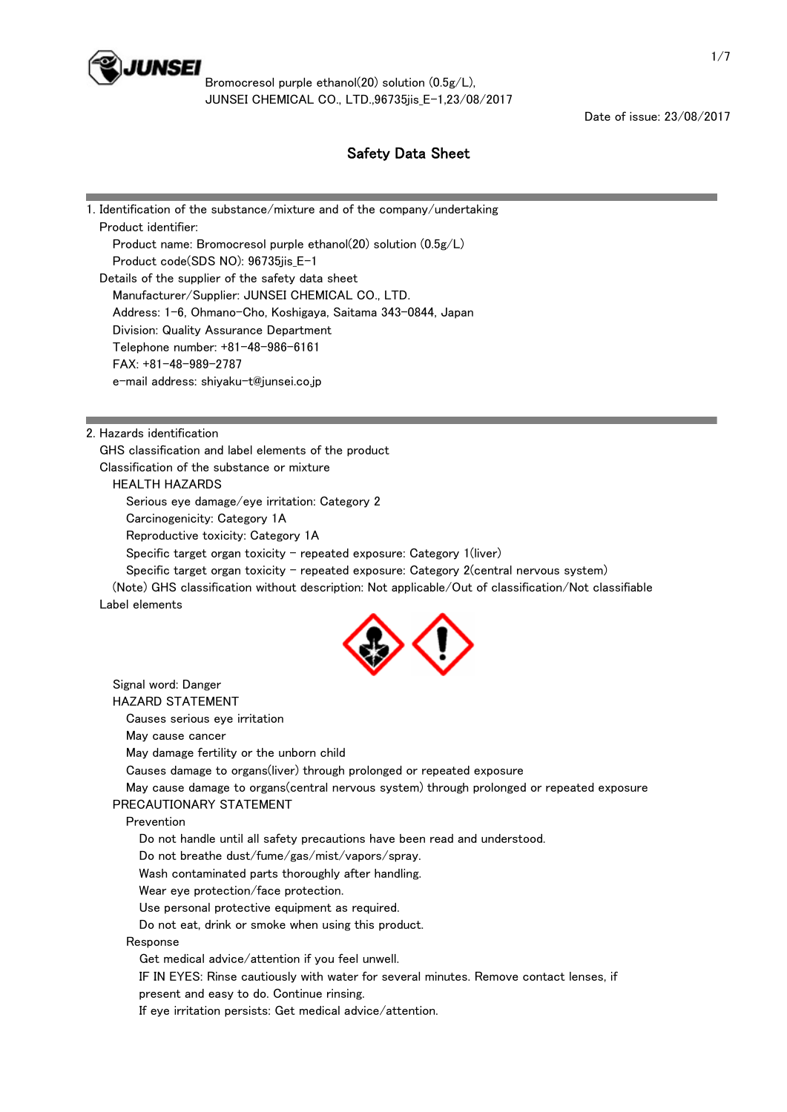

Date of issue: 23/08/2017

# Safety Data Sheet

| 1. Identification of the substance/mixture and of the company/undertaking |
|---------------------------------------------------------------------------|
| Product identifier:                                                       |
| Product name: Bromocresol purple ethanol(20) solution $(0.5g/L)$          |
| Product code(SDS NO): 96735jis_E-1                                        |
| Details of the supplier of the safety data sheet                          |
| Manufacturer/Supplier: JUNSEI CHEMICAL CO., LTD.                          |
| Address: 1-6, Ohmano-Cho, Koshigaya, Saitama 343-0844, Japan              |
| Division: Quality Assurance Department                                    |
| Telephone number: +81-48-986-6161                                         |
| $FAX: +81-48-989-2787$                                                    |
| e-mail address: shiyaku-t@junsei.co.jp                                    |
|                                                                           |

2. Hazards identification

GHS classification and label elements of the product

Classification of the substance or mixture

### HEALTH HAZARDS

Serious eye damage/eye irritation: Category 2

Carcinogenicity: Category 1A

Reproductive toxicity: Category 1A

Specific target organ toxicity - repeated exposure: Category  $1$ (liver)

Specific target organ toxicity - repeated exposure: Category 2(central nervous system)

 (Note) GHS classification without description: Not applicable/Out of classification/Not classifiable Label elements



 Signal word: Danger HAZARD STATEMENT Causes serious eye irritation May cause cancer May damage fertility or the unborn child Causes damage to organs(liver) through prolonged or repeated exposure May cause damage to organs(central nervous system) through prolonged or repeated exposure PRECAUTIONARY STATEMENT Prevention Do not handle until all safety precautions have been read and understood. Do not breathe dust/fume/gas/mist/vapors/spray. Wash contaminated parts thoroughly after handling. Wear eye protection/face protection. Use personal protective equipment as required. Do not eat, drink or smoke when using this product. Response Get medical advice/attention if you feel unwell. IF IN EYES: Rinse cautiously with water for several minutes. Remove contact lenses, if present and easy to do. Continue rinsing.

If eye irritation persists: Get medical advice/attention.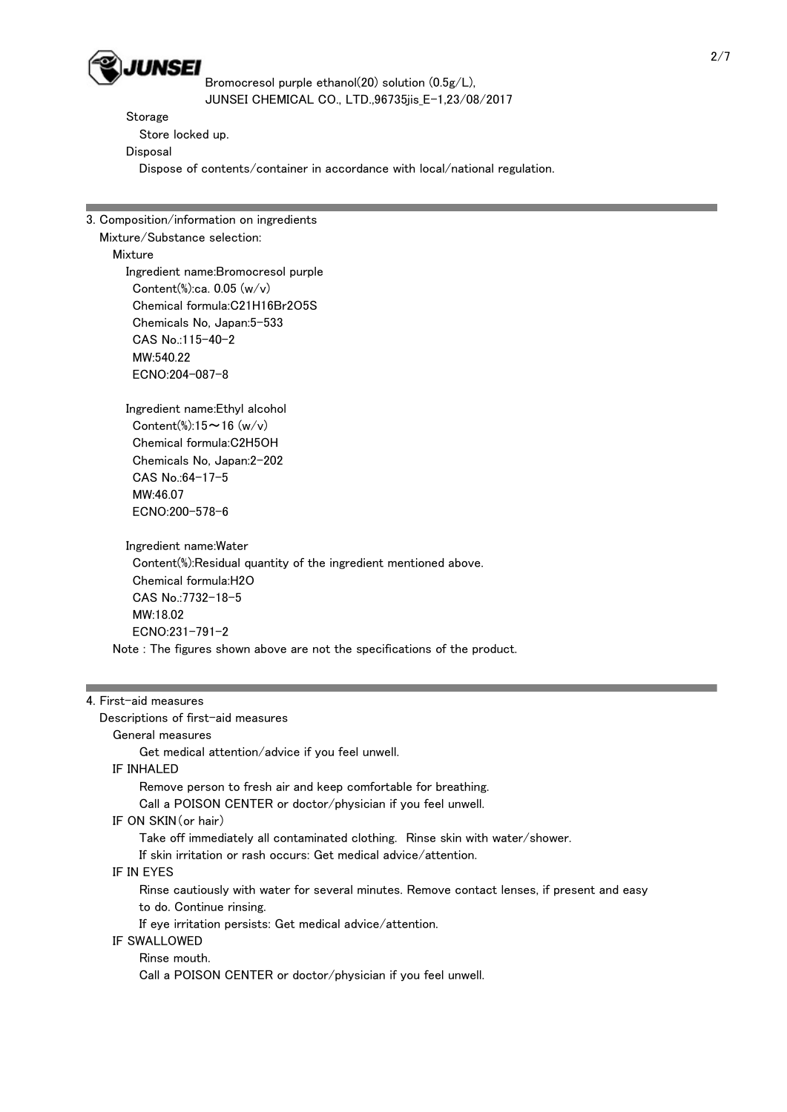

Storage

 Store locked up. Disposal

Dispose of contents/container in accordance with local/national regulation.

3. Composition/information on ingredients

Mixture/Substance selection:

Mixture

 Ingredient name:Bromocresol purple Content(%):ca. 0.05 (w/v) Chemical formula:C21H16Br2O5S Chemicals No, Japan:5-533 CAS No.:115-40-2 MW:540.22 ECNO:204-087-8

 Ingredient name:Ethyl alcohol Content(%): $15 \sim 16$  (w/v) Chemical formula:C2H5OH Chemicals No, Japan:2-202 CAS No.:64-17-5 MW:46.07 ECNO:200-578-6

 Ingredient name:Water Content(%):Residual quantity of the ingredient mentioned above. Chemical formula:H2O CAS No.:7732-18-5 MW:18.02 ECNO:231-791-2 Note : The figures shown above are not the specifications of the product.

## 4. First-aid measures

Descriptions of first-aid measures

 General measures Get medical attention/advice if you feel unwell.

IF INHALED

 Remove person to fresh air and keep comfortable for breathing. Call a POISON CENTER or doctor/physician if you feel unwell.

IF ON SKIN(or hair)

Take off immediately all contaminated clothing. Rinse skin with water/shower.

If skin irritation or rash occurs: Get medical advice/attention.

IF IN EYES

 Rinse cautiously with water for several minutes. Remove contact lenses, if present and easy to do. Continue rinsing.

If eye irritation persists: Get medical advice/attention.

IF SWALLOWED

Rinse mouth.

Call a POISON CENTER or doctor/physician if you feel unwell.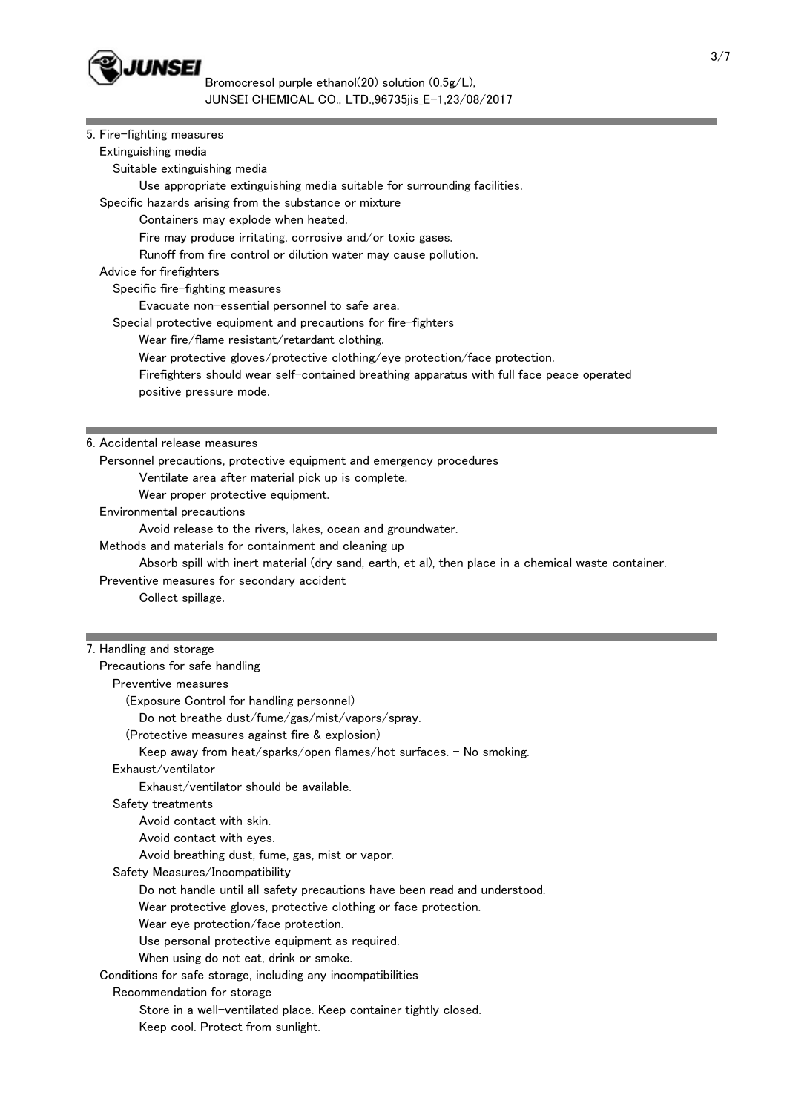

 $\bullet$  JUNSEI<br>Bromocresol purple ethanol(20) solution (0.5g/L),<br> $\bullet$  Bromocresol purple ethanol(20) solution (0.5g/L), JUNSEI CHEMICAL CO., LTD.,96735jis\_E-1,23/08/2017

| 5. Fire-fighting measures<br>Extinguishing media<br>Suitable extinguishing media<br>Use appropriate extinguishing media suitable for surrounding facilities. |
|--------------------------------------------------------------------------------------------------------------------------------------------------------------|
|                                                                                                                                                              |
|                                                                                                                                                              |
|                                                                                                                                                              |
|                                                                                                                                                              |
| Specific hazards arising from the substance or mixture                                                                                                       |
| Containers may explode when heated.                                                                                                                          |
| Fire may produce irritating, corrosive and/or toxic gases.                                                                                                   |
| Runoff from fire control or dilution water may cause pollution.                                                                                              |
| Advice for firefighters                                                                                                                                      |
| Specific fire-fighting measures                                                                                                                              |
| Evacuate non-essential personnel to safe area.                                                                                                               |
| Special protective equipment and precautions for fire-fighters                                                                                               |
| Wear fire/flame resistant/retardant clothing.                                                                                                                |
| Wear protective gloves/protective clothing/eye protection/face protection.                                                                                   |
| Firefighters should wear self-contained breathing apparatus with full face peace operated                                                                    |
| positive pressure mode.                                                                                                                                      |
|                                                                                                                                                              |
|                                                                                                                                                              |
| 6. Accidental release measures                                                                                                                               |
| Personnel precautions, protective equipment and emergency procedures                                                                                         |
| Ventilate area after material pick up is complete.                                                                                                           |
| Wear proper protective equipment.                                                                                                                            |
| Environmental precautions<br>Avoid release to the rivers, lakes, ocean and groundwater.                                                                      |
| Methods and materials for containment and cleaning up                                                                                                        |
| Absorb spill with inert material (dry sand, earth, et al), then place in a chemical waste container.                                                         |
| Preventive measures for secondary accident                                                                                                                   |
| Collect spillage.                                                                                                                                            |
|                                                                                                                                                              |
|                                                                                                                                                              |
|                                                                                                                                                              |
| 7. Handling and storage                                                                                                                                      |
| Precautions for safe handling                                                                                                                                |
| Preventive measures                                                                                                                                          |
| (Exposure Control for handling personnel)                                                                                                                    |
| Do not breathe dust/fume/gas/mist/vapors/spray.                                                                                                              |
| (Protective measures against fire & explosion)                                                                                                               |
| Keep away from heat/sparks/open flames/hot surfaces. - No smoking.                                                                                           |
| Exhaust/ventilator                                                                                                                                           |
| Exhaust/ventilator should be available.                                                                                                                      |
| Safety treatments                                                                                                                                            |
| Avoid contact with skin.                                                                                                                                     |
| Avoid contact with eyes.                                                                                                                                     |
| Avoid breathing dust, fume, gas, mist or vapor.                                                                                                              |
| Safety Measures/Incompatibility                                                                                                                              |
| Do not handle until all safety precautions have been read and understood.                                                                                    |
| Wear protective gloves, protective clothing or face protection.                                                                                              |
| Wear eye protection/face protection.                                                                                                                         |
| Use personal protective equipment as required.                                                                                                               |
| When using do not eat, drink or smoke.                                                                                                                       |
| Conditions for safe storage, including any incompatibilities                                                                                                 |
| Recommendation for storage                                                                                                                                   |
| Store in a well-ventilated place. Keep container tightly closed.<br>Keep cool. Protect from sunlight.                                                        |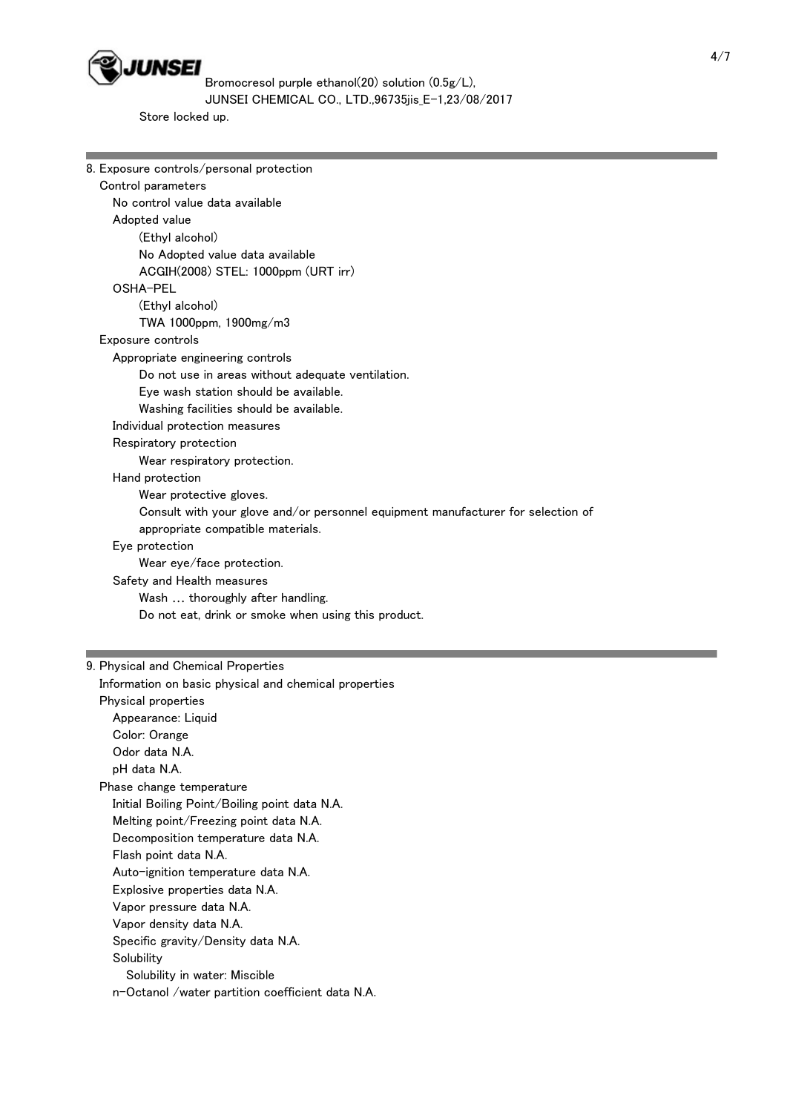

Store locked up.

| 8. Exposure controls/personal protection                                         |
|----------------------------------------------------------------------------------|
| Control parameters                                                               |
| No control value data available                                                  |
| Adopted value                                                                    |
| (Ethyl alcohol)                                                                  |
| No Adopted value data available                                                  |
| ACGIH(2008) STEL: 1000ppm (URT irr)                                              |
| OSHA-PEL                                                                         |
| (Ethyl alcohol)                                                                  |
| TWA 1000ppm, 1900mg/m3                                                           |
| Exposure controls                                                                |
| Appropriate engineering controls                                                 |
| Do not use in areas without adequate ventilation.                                |
| Eye wash station should be available.                                            |
| Washing facilities should be available.                                          |
| Individual protection measures                                                   |
| Respiratory protection                                                           |
| Wear respiratory protection.                                                     |
| Hand protection                                                                  |
| Wear protective gloves.                                                          |
| Consult with your glove and/or personnel equipment manufacturer for selection of |
| appropriate compatible materials.                                                |
| Eye protection                                                                   |
| Wear eye/face protection.                                                        |
| Safety and Health measures                                                       |
| Wash  thoroughly after handling.                                                 |
| Do not eat, drink or smoke when using this product.                              |
|                                                                                  |

### 9. Physical and Chemical Properties

 Information on basic physical and chemical properties Physical properties Appearance: Liquid Color: Orange Odor data N.A. pH data N.A. Phase change temperature Initial Boiling Point/Boiling point data N.A. Melting point/Freezing point data N.A. Decomposition temperature data N.A. Flash point data N.A. Auto-ignition temperature data N.A. Explosive properties data N.A. Vapor pressure data N.A. Vapor density data N.A. Specific gravity/Density data N.A. **Solubility**  Solubility in water: Miscible n-Octanol /water partition coefficient data N.A.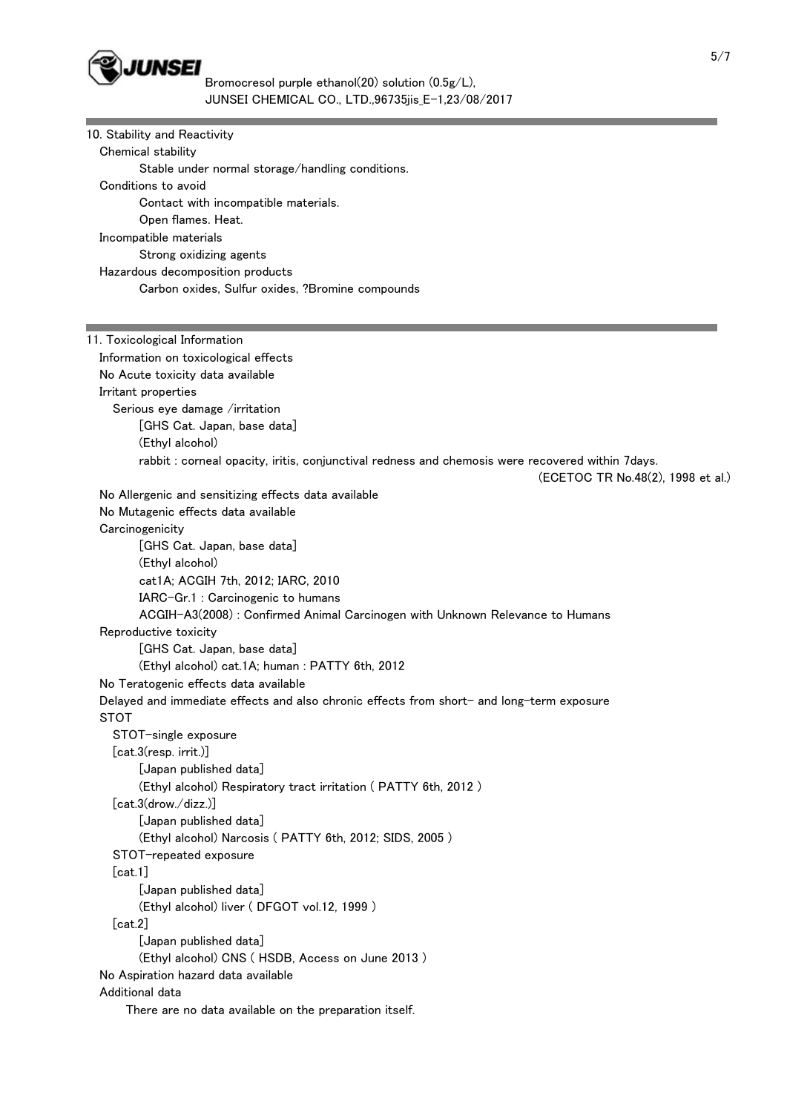

| 10. Stability and Reactivity<br>Chemical stability                                                                                    |
|---------------------------------------------------------------------------------------------------------------------------------------|
| Stable under normal storage/handling conditions.                                                                                      |
| Conditions to avoid                                                                                                                   |
| Contact with incompatible materials.                                                                                                  |
| Open flames. Heat.                                                                                                                    |
| Incompatible materials                                                                                                                |
| Strong oxidizing agents                                                                                                               |
| Hazardous decomposition products                                                                                                      |
| Carbon oxides, Sulfur oxides, ?Bromine compounds                                                                                      |
|                                                                                                                                       |
|                                                                                                                                       |
| 11. Toxicological Information                                                                                                         |
| Information on toxicological effects                                                                                                  |
| No Acute toxicity data available                                                                                                      |
| Irritant properties                                                                                                                   |
| Serious eye damage /irritation                                                                                                        |
| [GHS Cat. Japan, base data]                                                                                                           |
| (Ethyl alcohol)                                                                                                                       |
| rabbit : corneal opacity, iritis, conjunctival redness and chemosis were recovered within 7days.<br>(ECETOC TR No.48(2), 1998 et al.) |
| No Allergenic and sensitizing effects data available                                                                                  |
| No Mutagenic effects data available                                                                                                   |
| Carcinogenicity                                                                                                                       |
| [GHS Cat. Japan, base data]                                                                                                           |
| (Ethyl alcohol)                                                                                                                       |
| cat1A; ACGIH 7th, 2012; IARC, 2010                                                                                                    |
| IARC-Gr.1 : Carcinogenic to humans                                                                                                    |
| ACGIH-A3(2008) : Confirmed Animal Carcinogen with Unknown Relevance to Humans                                                         |
| Reproductive toxicity                                                                                                                 |
| [GHS Cat. Japan, base data]                                                                                                           |
| (Ethyl alcohol) cat.1A; human: PATTY 6th, 2012                                                                                        |
| No Teratogenic effects data available                                                                                                 |
| Delayed and immediate effects and also chronic effects from short- and long-term exposure                                             |
| <b>STOT</b>                                                                                                                           |
| STOT-single exposure                                                                                                                  |
| [cat.3(resp. irrit.)]                                                                                                                 |
| [Japan published data]                                                                                                                |
| (Ethyl alcohol) Respiratory tract irritation (PATTY 6th, 2012)                                                                        |
| [cat.3(drow./dizz.)]                                                                                                                  |
| [Japan published data]                                                                                                                |
| (Ethyl alcohol) Narcosis (PATTY 6th, 2012; SIDS, 2005)                                                                                |
| STOT-repeated exposure                                                                                                                |
| [cat.1]                                                                                                                               |
| [Japan published data]                                                                                                                |
| (Ethyl alcohol) liver (DFGOT vol.12, 1999)                                                                                            |
| [cat.2]                                                                                                                               |
| [Japan published data]                                                                                                                |
| (Ethyl alcohol) CNS (HSDB, Access on June 2013)                                                                                       |
| No Aspiration hazard data available                                                                                                   |
| Additional data                                                                                                                       |
| There are no data available on the preparation itself.                                                                                |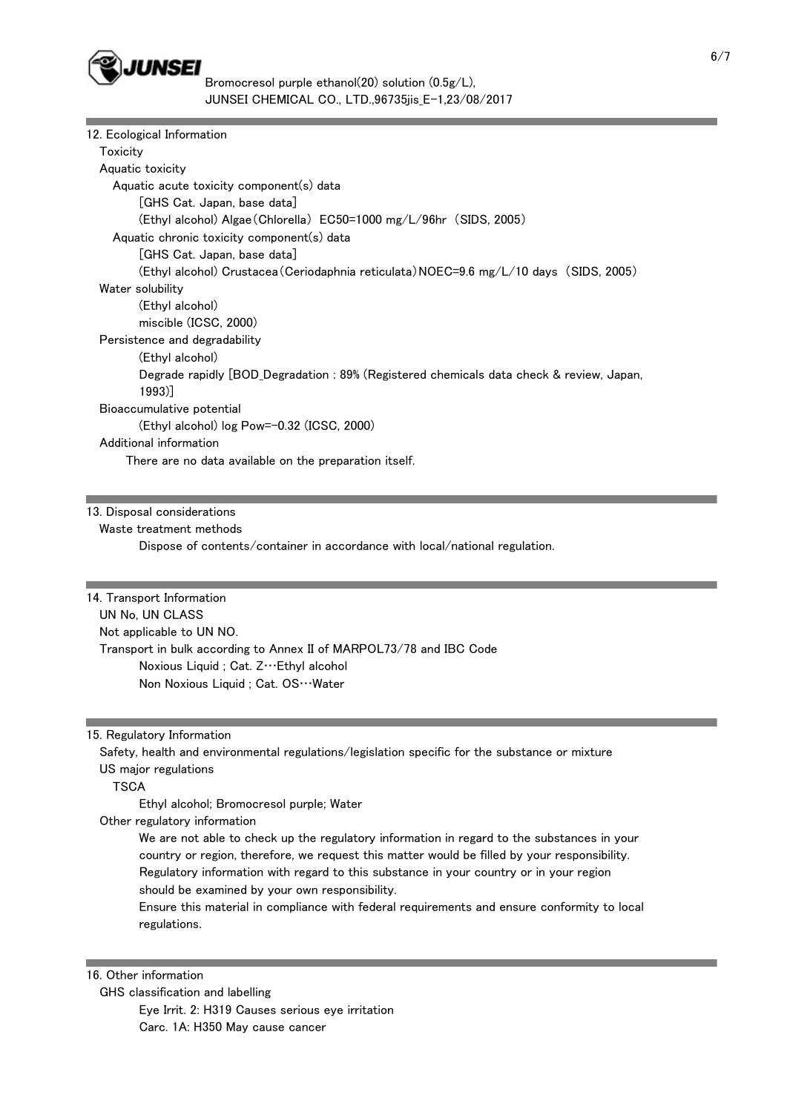

| 12. Ecological Information                                                               |
|------------------------------------------------------------------------------------------|
| Toxicity                                                                                 |
| Aquatic toxicity                                                                         |
| Aquatic acute toxicity component(s) data                                                 |
| [GHS Cat. Japan, base data]                                                              |
| (Ethyl alcohol) Algae (Chlorella) EC50=1000 mg/L/96hr (SIDS, 2005)                       |
| Aquatic chronic toxicity component(s) data                                               |
| [GHS Cat. Japan, base data]                                                              |
| (Ethyl alcohol) Crustacea (Ceriodaphnia reticulata) NOEC=9.6 mg/L/10 days (SIDS, 2005)   |
| Water solubility                                                                         |
| (Ethyl alcohol)                                                                          |
| miscible (ICSC, 2000)                                                                    |
| Persistence and degradability                                                            |
| (Ethyl alcohol)                                                                          |
| Degrade rapidly [BOD_Degradation : 89% (Registered chemicals data check & review, Japan, |
| $1993$ ]                                                                                 |
| Bioaccumulative potential                                                                |
| (Ethyl alcohol) log Pow=-0.32 (ICSC, 2000)                                               |
| Additional information                                                                   |
| There are no data available on the preparation itself.                                   |
|                                                                                          |

13. Disposal considerations

Waste treatment methods

Dispose of contents/container in accordance with local/national regulation.

14. Transport Information UN No, UN CLASS Not applicable to UN NO. Transport in bulk according to Annex II of MARPOL73/78 and IBC Code Noxious Liquid ; Cat. Z…Ethyl alcohol Non Noxious Liquid ; Cat. OS…Water

#### 15. Regulatory Information

 Safety, health and environmental regulations/legislation specific for the substance or mixture US major regulations

**TSCA** 

Ethyl alcohol; Bromocresol purple; Water

Other regulatory information

 We are not able to check up the regulatory information in regard to the substances in your country or region, therefore, we request this matter would be filled by your responsibility. Regulatory information with regard to this substance in your country or in your region should be examined by your own responsibility.

 Ensure this material in compliance with federal requirements and ensure conformity to local regulations.

## 16. Other information

 GHS classification and labelling Eye Irrit. 2: H319 Causes serious eye irritation Carc. 1A: H350 May cause cancer